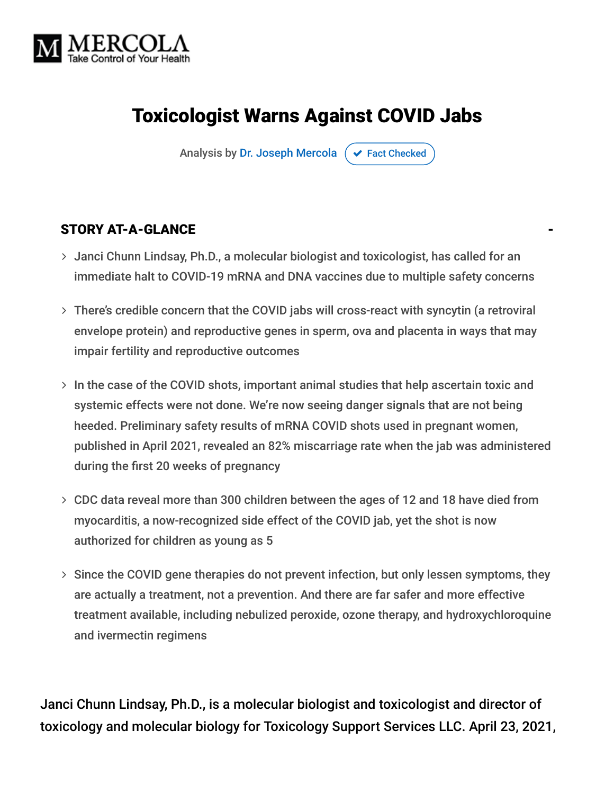

# Toxicologist Warns Against COVID Jabs

Analysis by [Dr. Joseph Mercola](https://www.mercola.com/forms/background.htm)  $\sigma$  [Fact Checked](javascript:void(0))

#### STORY AT-A-GLANCE

- Janci Chunn Lindsay, Ph.D., a molecular biologist and toxicologist, has called for an immediate halt to COVID-19 mRNA and DNA vaccines due to multiple safety concerns
- There's credible concern that the COVID jabs will cross-react with syncytin (a retroviral envelope protein) and reproductive genes in sperm, ova and placenta in ways that may impair fertility and reproductive outcomes
- $>$  In the case of the COVID shots, important animal studies that help ascertain toxic and systemic effects were not done. We're now seeing danger signals that are not being heeded. Preliminary safety results of mRNA COVID shots used in pregnant women, published in April 2021, revealed an 82% miscarriage rate when the jab was administered during the first 20 weeks of pregnancy
- CDC data reveal more than 300 children between the ages of 12 and 18 have died from myocarditis, a now-recognized side effect of the COVID jab, yet the shot is now authorized for children as young as 5
- $>$  Since the COVID gene therapies do not prevent infection, but only lessen symptoms, they are actually a treatment, not a prevention. And there are far safer and more effective treatment available, including nebulized peroxide, ozone therapy, and hydroxychloroquine and ivermectin regimens

Janci Chunn Lindsay, Ph.D., is a molecular biologist and toxicologist and director of toxicology and molecular biology for Toxicology Support Services LLC. April 23, 2021,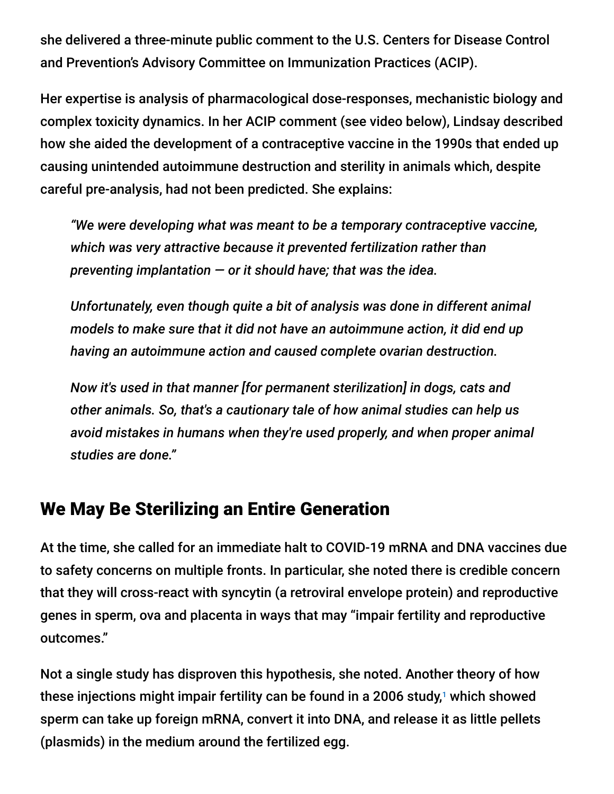she delivered a three-minute public comment to the U.S. Centers for Disease Control and Prevention's Advisory Committee on Immunization Practices (ACIP).

Her expertise is analysis of pharmacological dose-responses, mechanistic biology and complex toxicity dynamics. In her ACIP comment (see video below), Lindsay described how she aided the development of a contraceptive vaccine in the 1990s that ended up causing unintended autoimmune destruction and sterility in animals which, despite careful pre-analysis, had not been predicted. She explains:

*"We were developing what was meant to be a temporary contraceptive vaccine, which was very attractive because it prevented fertilization rather than preventing implantation — or it should have; that was the idea.*

*Unfortunately, even though quite a bit of analysis was done in different animal models to make sure that it did not have an autoimmune action, it did end up having an autoimmune action and caused complete ovarian destruction.*

*Now it's used in that manner [for permanent sterilization] in dogs, cats and other animals. So, that's a cautionary tale of how animal studies can help us avoid mistakes in humans when they're used properly, and when proper animal studies are done."*

#### We May Be Sterilizing an Entire Generation

At the time, she called for an immediate halt to COVID-19 mRNA and DNA vaccines due to safety concerns on multiple fronts. In particular, she noted there is credible concern that they will cross-react with syncytin (a retroviral envelope protein) and reproductive genes in sperm, ova and placenta in ways that may "impair fertility and reproductive outcomes."

Not a single study has disproven this hypothesis, she noted. Another theory of how these injections might impair fertility can be found in a 2006 study, $^1$  which showed sperm can take up foreign mRNA, convert it into DNA, and release it as little pellets (plasmids) in the medium around the fertilized egg.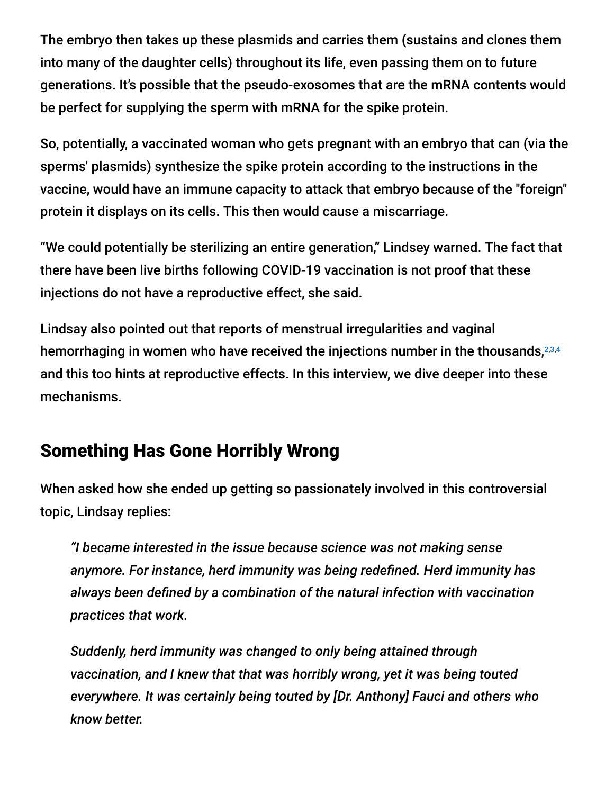The embryo then takes up these plasmids and carries them (sustains and clones them into many of the daughter cells) throughout its life, even passing them on to future generations. It's possible that the pseudo-exosomes that are the mRNA contents would be perfect for supplying the sperm with mRNA for the spike protein.

So, potentially, a vaccinated woman who gets pregnant with an embryo that can (via the sperms' plasmids) synthesize the spike protein according to the instructions in the vaccine, would have an immune capacity to attack that embryo because of the "foreign" protein it displays on its cells. This then would cause a miscarriage.

"We could potentially be sterilizing an entire generation," Lindsey warned. The fact that there have been live births following COVID-19 vaccination is not proof that these injections do not have a reproductive effect, she said.

Lindsay also pointed out that reports of menstrual irregularities and vaginal hemorrhaging in women who have received the injections number in the thousands, 2,3,4 and this too hints at reproductive effects. In this interview, we dive deeper into these mechanisms.

# Something Has Gone Horribly Wrong

When asked how she ended up getting so passionately involved in this controversial topic, Lindsay replies:

*"I became interested in the issue because science was not making sense anymore. For instance, herd immunity was being redefined. Herd immunity has always been defined by a combination of the natural infection with vaccination practices that work.*

*Suddenly, herd immunity was changed to only being attained through vaccination, and I knew that that was horribly wrong, yet it was being touted everywhere. It was certainly being touted by [Dr. Anthony] Fauci and others who know better.*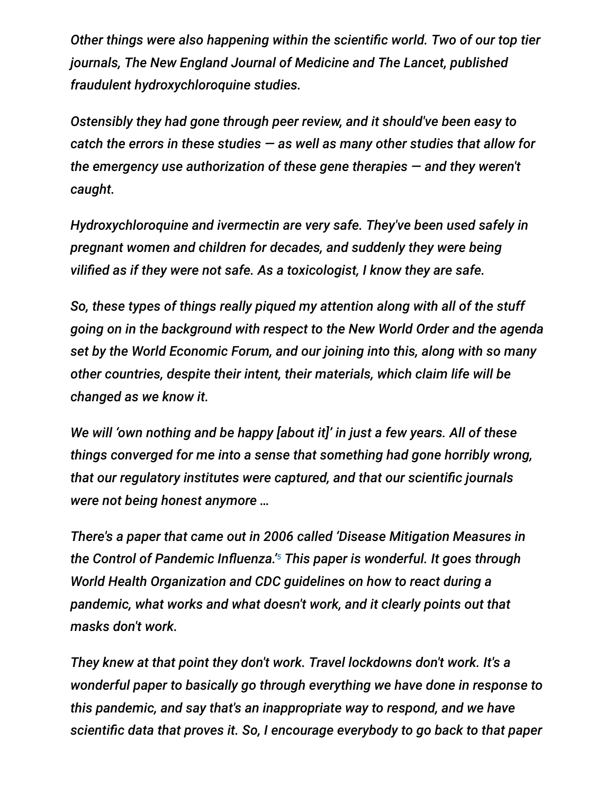*Other things were also happening within the scientific world. Two of our top tier journals, The New England Journal of Medicine and The Lancet, published fraudulent hydroxychloroquine studies.*

*Ostensibly they had gone through peer review, and it should've been easy to catch the errors in these studies — as well as many other studies that allow for the emergency use authorization of these gene therapies — and they weren't caught.*

*Hydroxychloroquine and ivermectin are very safe. They've been used safely in pregnant women and children for decades, and suddenly they were being vilified as if they were not safe. As a toxicologist, I know they are safe.*

*So, these types of things really piqued my attention along with all of the stuff going on in the background with respect to the New World Order and the agenda set by the World Economic Forum, and our joining into this, along with so many other countries, despite their intent, their materials, which claim life will be changed as we know it.*

*We will 'own nothing and be happy [about it]' in just a few years. All of these things converged for me into a sense that something had gone horribly wrong, that our regulatory institutes were captured, and that our scientific journals were not being honest anymore …*

*There's a paper that came out in 2006 called 'Disease Mitigation Measures in* the Control of Pandemic Influenza.<sup>'5</sup> This paper is wonderful. It goes through *World Health Organization and CDC guidelines on how to react during a pandemic, what works and what doesn't work, and it clearly points out that masks don't work.*

*They knew at that point they don't work. Travel lockdowns don't work. It's a wonderful paper to basically go through everything we have done in response to this pandemic, and say that's an inappropriate way to respond, and we have scientific data that proves it. So, I encourage everybody to go back to that paper*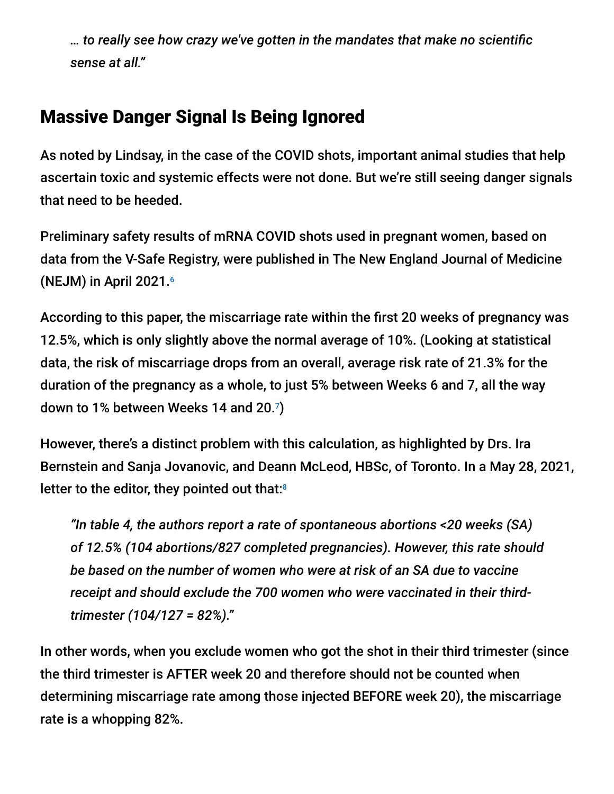*… to really see how crazy we've gotten in the mandates that make no scientific sense at all."*

### Massive Danger Signal Is Being Ignored

As noted by Lindsay, in the case of the COVID shots, important animal studies that help ascertain toxic and systemic effects were not done. But we're still seeing danger signals that need to be heeded.

Preliminary safety results of mRNA COVID shots used in pregnant women, based on data from the V-Safe Registry, were published in The New England Journal of Medicine (NEJM) in April 2021. 6

According to this paper, the miscarriage rate within the first 20 weeks of pregnancy was 12.5%, which is only slightly above the normal average of 10%. (Looking at statistical data, the risk of miscarriage drops from an overall, average risk rate of 21.3% for the duration of the pregnancy as a whole, to just 5% between Weeks 6 and 7, all the way down to 1% between Weeks 14 and 20.7)

However, there's a distinct problem with this calculation, as highlighted by Drs. Ira Bernstein and Sanja Jovanovic, and Deann McLeod, HBSc, of Toronto. In a May 28, 2021, letter to the editor, they pointed out that:<sup>8</sup>

*"In table 4, the authors report a rate of spontaneous abortions <20 weeks (SA) of 12.5% (104 abortions/827 completed pregnancies). However, this rate should be based on the number of women who were at risk of an SA due to vaccine receipt and should exclude the 700 women who were vaccinated in their thirdtrimester (104/127 = 82%)."*

In other words, when you exclude women who got the shot in their third trimester (since the third trimester is AFTER week 20 and therefore should not be counted when determining miscarriage rate among those injected BEFORE week 20), the miscarriage rate is a whopping 82%.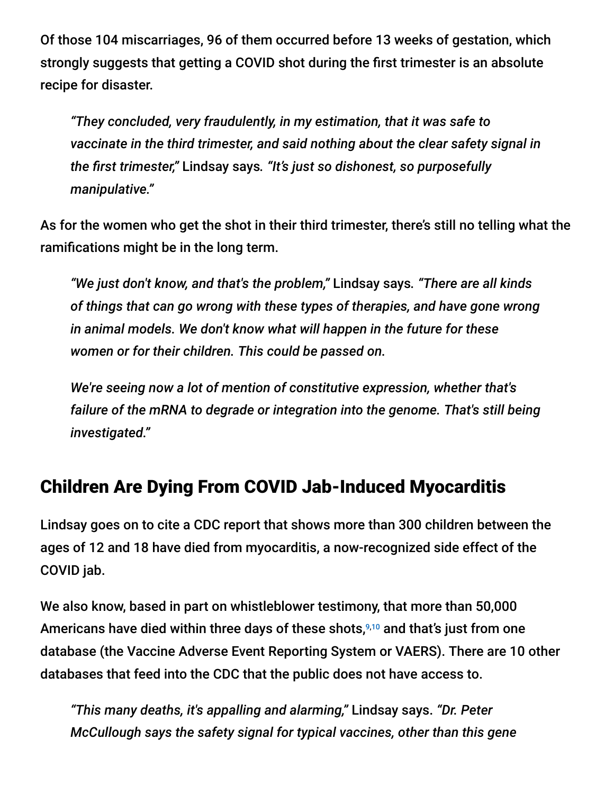Of those 104 miscarriages, 96 of them occurred before 13 weeks of gestation, which strongly suggests that getting a COVID shot during the first trimester is an absolute recipe for disaster.

*"They concluded, very fraudulently, in my estimation, that it was safe to vaccinate in the third trimester, and said nothing about the clear safety signal in the first trimester,"* Lindsay says*. "It's just so dishonest, so purposefully manipulative."*

As for the women who get the shot in their third trimester, there's still no telling what the ramifications might be in the long term.

*"We just don't know, and that's the problem,"* Lindsay says*. "There are all kinds of things that can go wrong with these types of therapies, and have gone wrong in animal models. We don't know what will happen in the future for these women or for their children. This could be passed on.*

*We're seeing now a lot of mention of constitutive expression, whether that's failure of the mRNA to degrade or integration into the genome. That's still being investigated."*

# Children Are Dying From COVID Jab-Induced Myocarditis

Lindsay goes on to cite a CDC report that shows more than 300 children between the ages of 12 and 18 have died from myocarditis, a now-recognized side effect of the COVID jab.

We also know, based in part on whistleblower testimony, that more than 50,000 Americans have died within three days of these shots,<sup>9,10</sup> and that's just from one database (the Vaccine Adverse Event Reporting System or VAERS). There are 10 other databases that feed into the CDC that the public does not have access to.

*"This many deaths, it's appalling and alarming,"* Lindsay says. *"Dr. Peter McCullough says the safety signal for typical vaccines, other than this gene*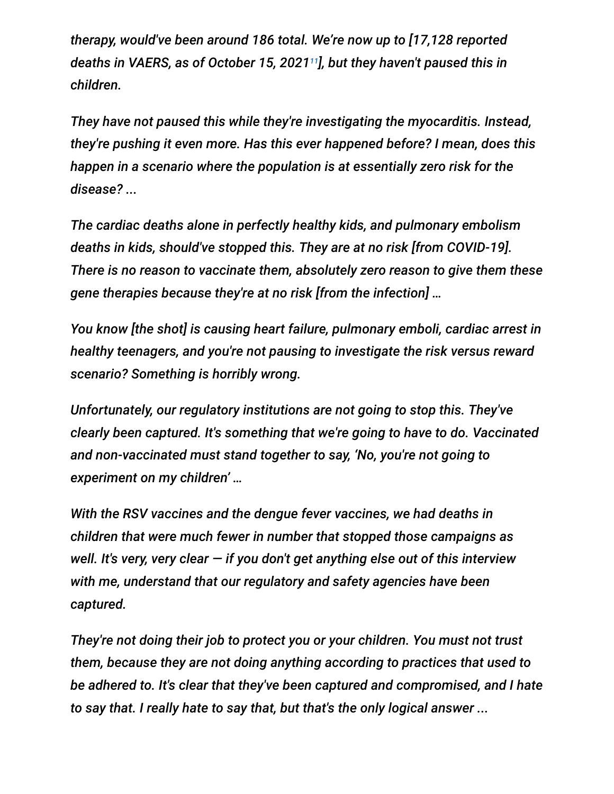*therapy, would've been around 186 total. We're now up to [17,128 reported deaths in VAERS, as of October 15, 2021 ], but they haven't paused this in 11children.*

*They have not paused this while they're investigating the myocarditis. Instead, they're pushing it even more. Has this ever happened before? I mean, does this happen in a scenario where the population is at essentially zero risk for the disease? ...*

*The cardiac deaths alone in perfectly healthy kids, and pulmonary embolism deaths in kids, should've stopped this. They are at no risk [from COVID-19]. There is no reason to vaccinate them, absolutely zero reason to give them these gene therapies because they're at no risk [from the infection] …*

*You know [the shot] is causing heart failure, pulmonary emboli, cardiac arrest in healthy teenagers, and you're not pausing to investigate the risk versus reward scenario? Something is horribly wrong.*

*Unfortunately, our regulatory institutions are not going to stop this. They've clearly been captured. It's something that we're going to have to do. Vaccinated and non-vaccinated must stand together to say, 'No, you're not going to experiment on my children' …*

*With the RSV vaccines and the dengue fever vaccines, we had deaths in children that were much fewer in number that stopped those campaigns as well. It's very, very clear — if you don't get anything else out of this interview with me, understand that our regulatory and safety agencies have been captured.*

*They're not doing their job to protect you or your children. You must not trust them, because they are not doing anything according to practices that used to be adhered to. It's clear that they've been captured and compromised, and I hate to say that. I really hate to say that, but that's the only logical answer ...*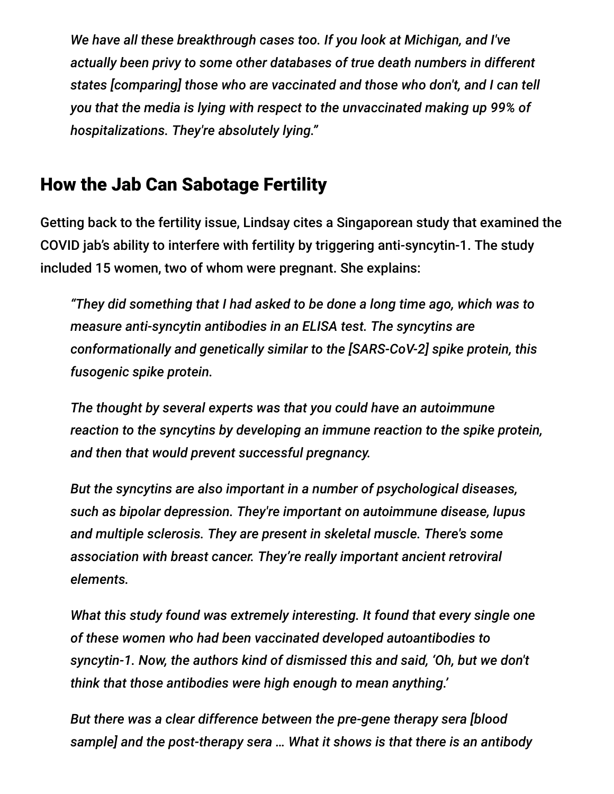*We have all these breakthrough cases too. If you look at Michigan, and I've actually been privy to some other databases of true death numbers in different states [comparing] those who are vaccinated and those who don't, and I can tell you that the media is lying with respect to the unvaccinated making up 99% of hospitalizations. They're absolutely lying."*

### How the Jab Can Sabotage Fertility

Getting back to the fertility issue, Lindsay cites a Singaporean study that examined the COVID jab's ability to interfere with fertility by triggering anti-syncytin-1. The study included 15 women, two of whom were pregnant. She explains:

*"They did something that I had asked to be done a long time ago, which was to measure anti-syncytin antibodies in an ELISA test. The syncytins are conformationally and genetically similar to the [SARS-CoV-2] spike protein, this fusogenic spike protein.*

*The thought by several experts was that you could have an autoimmune reaction to the syncytins by developing an immune reaction to the spike protein, and then that would prevent successful pregnancy.*

*But the syncytins are also important in a number of psychological diseases, such as bipolar depression. They're important on autoimmune disease, lupus and multiple sclerosis. They are present in skeletal muscle. There's some association with breast cancer. They're really important ancient retroviral elements.*

*What this study found was extremely interesting. It found that every single one of these women who had been vaccinated developed autoantibodies to syncytin-1. Now, the authors kind of dismissed this and said, 'Oh, but we don't think that those antibodies were high enough to mean anything.'*

*But there was a clear difference between the pre-gene therapy sera [blood sample] and the post-therapy sera … What it shows is that there is an antibody*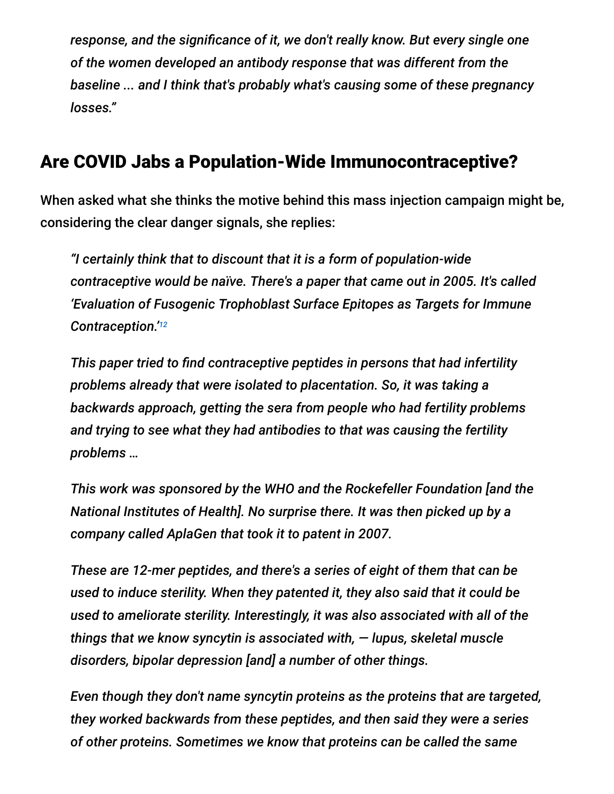*response, and the significance of it, we don't really know. But every single one of the women developed an antibody response that was different from the baseline ... and I think that's probably what's causing some of these pregnancy losses."*

### Are COVID Jabs a Population-Wide Immunocontraceptive?

When asked what she thinks the motive behind this mass injection campaign might be, considering the clear danger signals, she replies:

*"I certainly think that to discount that it is a form of population-wide contraceptive would be naïve. There's a paper that came out in 2005. It's called 'Evaluation of Fusogenic Trophoblast Surface Epitopes as Targets for Immune Contraception.' 12*

*This paper tried to find contraceptive peptides in persons that had infertility problems already that were isolated to placentation. So, it was taking a backwards approach, getting the sera from people who had fertility problems and trying to see what they had antibodies to that was causing the fertility problems …*

*This work was sponsored by the WHO and the Rockefeller Foundation [and the National Institutes of Health]. No surprise there. It was then picked up by a company called AplaGen that took it to patent in 2007.*

*These are 12-mer peptides, and there's a series of eight of them that can be used to induce sterility. When they patented it, they also said that it could be used to ameliorate sterility. Interestingly, it was also associated with all of the things that we know syncytin is associated with, — lupus, skeletal muscle disorders, bipolar depression [and] a number of other things.*

*Even though they don't name syncytin proteins as the proteins that are targeted, they worked backwards from these peptides, and then said they were a series of other proteins. Sometimes we know that proteins can be called the same*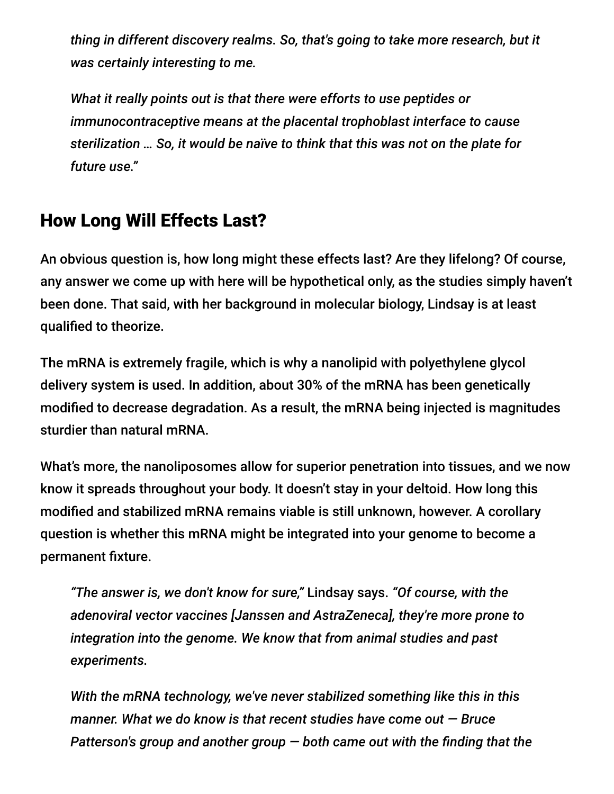*thing in different discovery realms. So, that's going to take more research, but it was certainly interesting to me.*

*What it really points out is that there were efforts to use peptides or immunocontraceptive means at the placental trophoblast interface to cause sterilization … So, it would be naïve to think that this was not on the plate for future use."*

# How Long Will Effects Last?

An obvious question is, how long might these effects last? Are they lifelong? Of course, any answer we come up with here will be hypothetical only, as the studies simply haven't been done. That said, with her background in molecular biology, Lindsay is at least qualified to theorize.

The mRNA is extremely fragile, which is why a nanolipid with polyethylene glycol delivery system is used. In addition, about 30% of the mRNA has been genetically modified to decrease degradation. As a result, the mRNA being injected is magnitudes sturdier than natural mRNA.

What's more, the nanoliposomes allow for superior penetration into tissues, and we now know it spreads throughout your body. It doesn't stay in your deltoid. How long this modified and stabilized mRNA remains viable is still unknown, however. A corollary question is whether this mRNA might be integrated into your genome to become a permanent fixture.

*"The answer is, we don't know for sure,"* Lindsay says. *"Of course, with the adenoviral vector vaccines [Janssen and AstraZeneca], they're more prone to integration into the genome. We know that from animal studies and past experiments.*

*With the mRNA technology, we've never stabilized something like this in this manner. What we do know is that recent studies have come out — Bruce Patterson's group and another group — both came out with the finding that the*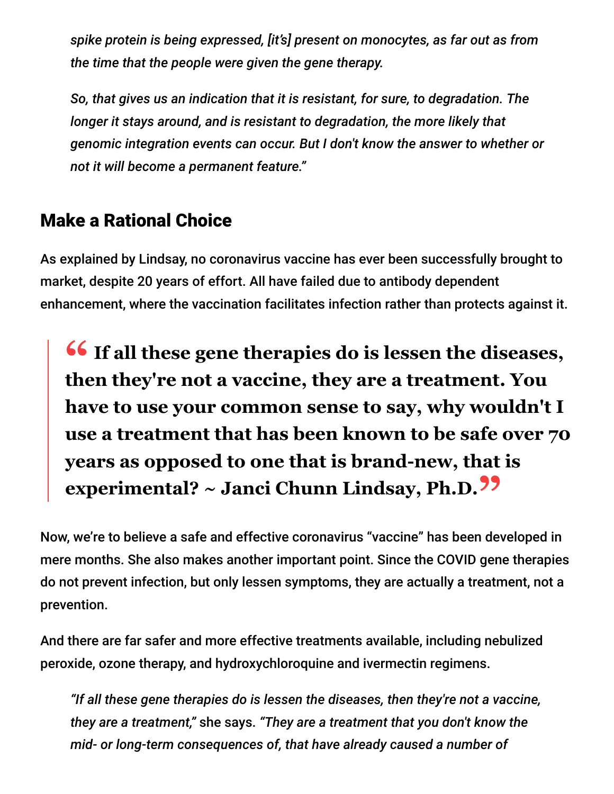*spike protein is being expressed, [it's] present on monocytes, as far out as from the time that the people were given the gene therapy.*

*So, that gives us an indication that it is resistant, for sure, to degradation. The longer it stays around, and is resistant to degradation, the more likely that genomic integration events can occur. But I don't know the answer to whether or not it will become a permanent feature."*

# Make a Rational Choice

As explained by Lindsay, no coronavirus vaccine has ever been successfully brought to market, despite 20 years of effort. All have failed due to antibody dependent enhancement, where the vaccination facilitates infection rather than protects against it.

**<sup>66</sup>** If all these gene therapies do is lessen the diseases,<br>then they're not a vaccine, they are a treatment, You **then they're not a vaccine, they are a treatment. You have to use your common sense to say, why wouldn't I use a treatment that has been known to be safe over 70 years as opposed to one that is brand-new, that is experimental? ~ Janci Chunn Lindsay, Ph.D."**

Now, we're to believe a safe and effective coronavirus "vaccine" has been developed in mere months. She also makes another important point. Since the COVID gene therapies do not prevent infection, but only lessen symptoms, they are actually a treatment, not a prevention.

And there are far safer and more effective treatments available, including nebulized peroxide, ozone therapy, and hydroxychloroquine and ivermectin regimens.

*"If all these gene therapies do is lessen the diseases, then they're not a vaccine, they are a treatment,"* she says. *"They are a treatment that you don't know the mid- or long-term consequences of, that have already caused a number of*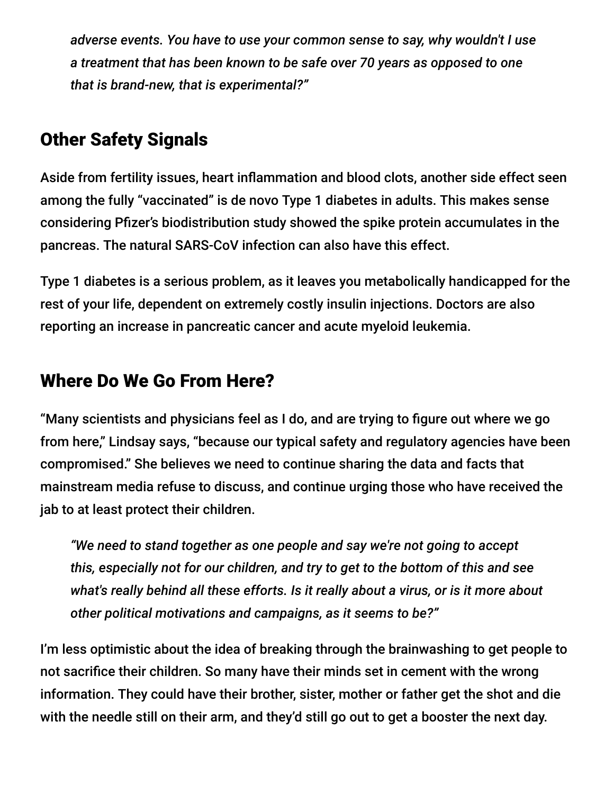*adverse events. You have to use your common sense to say, why wouldn't I use a treatment that has been known to be safe over 70 years as opposed to one that is brand-new, that is experimental?"*

# Other Safety Signals

Aside from fertility issues, heart inflammation and blood clots, another side effect seen among the fully "vaccinated" is de novo Type 1 diabetes in adults. This makes sense considering Pfizer's biodistribution study showed the spike protein accumulates in the pancreas. The natural SARS-CoV infection can also have this effect.

Type 1 diabetes is a serious problem, as it leaves you metabolically handicapped for the rest of your life, dependent on extremely costly insulin injections. Doctors are also reporting an increase in pancreatic cancer and acute myeloid leukemia.

# Where Do We Go From Here?

"Many scientists and physicians feel as I do, and are trying to figure out where we go from here," Lindsay says, "because our typical safety and regulatory agencies have been compromised." She believes we need to continue sharing the data and facts that mainstream media refuse to discuss, and continue urging those who have received the jab to at least protect their children.

*"We need to stand together as one people and say we're not going to accept this, especially not for our children, and try to get to the bottom of this and see what's really behind all these efforts. Is it really about a virus, or is it more about other political motivations and campaigns, as it seems to be?"*

I'm less optimistic about the idea of breaking through the brainwashing to get people to not sacrifice their children. So many have their minds set in cement with the wrong information. They could have their brother, sister, mother or father get the shot and die with the needle still on their arm, and they'd still go out to get a booster the next day.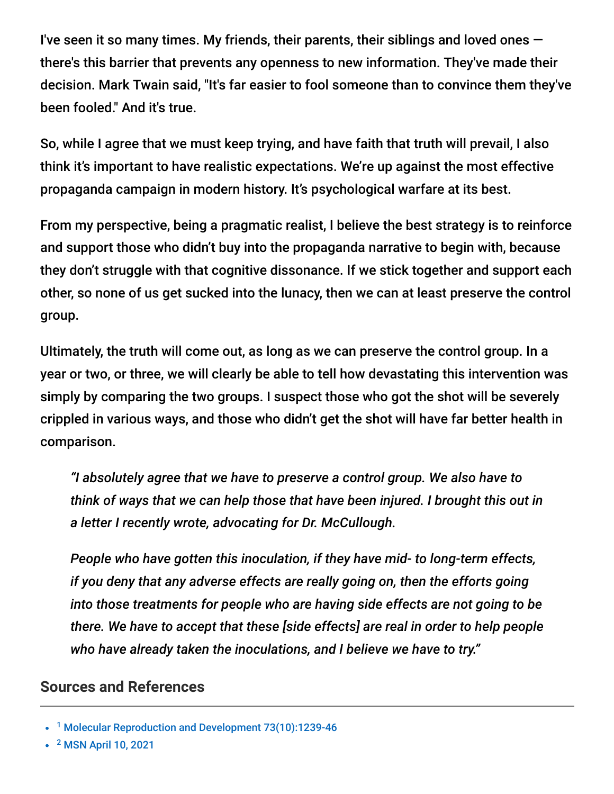I've seen it so many times. My friends, their parents, their siblings and loved ones  $$ there's this barrier that prevents any openness to new information. They've made their decision. Mark Twain said, "It's far easier to fool someone than to convince them they've been fooled." And it's true.

So, while I agree that we must keep trying, and have faith that truth will prevail, I also think it's important to have realistic expectations. We're up against the most effective propaganda campaign in modern history. It's psychological warfare at its best.

From my perspective, being a pragmatic realist, I believe the best strategy is to reinforce and support those who didn't buy into the propaganda narrative to begin with, because they don't struggle with that cognitive dissonance. If we stick together and support each other, so none of us get sucked into the lunacy, then we can at least preserve the control group.

Ultimately, the truth will come out, as long as we can preserve the control group. In a year or two, or three, we will clearly be able to tell how devastating this intervention was simply by comparing the two groups. I suspect those who got the shot will be severely crippled in various ways, and those who didn't get the shot will have far better health in comparison.

*"I absolutely agree that we have to preserve a control group. We also have to think of ways that we can help those that have been injured. I brought this out in a letter I recently wrote, advocating for Dr. McCullough.*

*People who have gotten this inoculation, if they have mid- to long-term effects, if you deny that any adverse effects are really going on, then the efforts going into those treatments for people who are having side effects are not going to be there. We have to accept that these [side effects] are real in order to help people who have already taken the inoculations, and I believe we have to try."*

#### **Sources and References**

<sup>2</sup> [MSN April 10, 2021](https://www.msn.com/en-us/health/medical/people-are-sharing-abnormal-period-stories-after-the-covid-19-vaccine-is-there-a-link/ar-BB1fuv0D?ocid=uxbndlbing)

<sup>&</sup>lt;sup>1</sup> [Molecular Reproduction and Development 73\(10\):1239-46](https://www.researchgate.net/publication/6936323_Generation_of_biologically_active_retro-genes_upon_interaction_of_mouse_spermatozoa_with_exogenous_DNA)